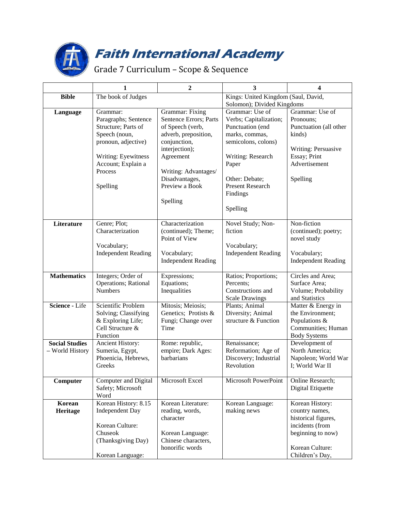

## **Faith International Academy**

## Grade 7 Curriculum – Scope & Sequence

|                       | 1                                     | $\boldsymbol{2}$                        | 3                                         | 4                                   |
|-----------------------|---------------------------------------|-----------------------------------------|-------------------------------------------|-------------------------------------|
| <b>Bible</b>          | The book of Judges                    |                                         | Kings: United Kingdom (Saul, David,       |                                     |
|                       |                                       |                                         | Solomon); Divided Kingdoms                |                                     |
| Language              | Grammar:                              | Grammar: Fixing                         | Grammar: Use of                           | Grammar: Use of                     |
|                       | Paragraphs; Sentence                  | Sentence Errors; Parts                  | Verbs; Capitalization;                    | Pronouns;                           |
|                       | Structure; Parts of                   | of Speech (verb,                        | Punctuation (end                          | Punctuation (all other              |
|                       | Speech (noun,<br>pronoun, adjective)  | adverb, preposition,<br>conjunction,    | marks, commas,<br>semicolons, colons)     | kinds)                              |
|                       |                                       | interjection);                          |                                           | Writing: Persuasive                 |
|                       | Writing: Eyewitness                   | Agreement                               | Writing: Research                         | Essay; Print                        |
|                       | Account; Explain a                    |                                         | Paper                                     | Advertisement                       |
|                       | Process                               | Writing: Advantages/                    |                                           |                                     |
|                       |                                       | Disadvantages,                          | Other: Debate;                            | Spelling                            |
|                       | Spelling                              | Preview a Book                          | <b>Present Research</b>                   |                                     |
|                       |                                       |                                         | Findings                                  |                                     |
|                       |                                       | Spelling                                |                                           |                                     |
|                       |                                       |                                         | Spelling                                  |                                     |
| Literature            | Genre; Plot;                          | Characterization                        | Novel Study; Non-                         | Non-fiction                         |
|                       | Characterization                      | (continued); Theme;                     | fiction                                   | (continued); poetry;                |
|                       |                                       | Point of View                           |                                           | novel study                         |
|                       | Vocabulary;                           |                                         | Vocabulary;                               |                                     |
|                       | <b>Independent Reading</b>            | Vocabulary;                             | <b>Independent Reading</b>                | Vocabulary;                         |
|                       |                                       | <b>Independent Reading</b>              |                                           | <b>Independent Reading</b>          |
| <b>Mathematics</b>    | Integers; Order of                    | Expressions;                            | Ratios; Proportions;                      | Circles and Area;                   |
|                       | Operations; Rational                  | Equations;                              | Percents;                                 | Surface Area;                       |
|                       | <b>Numbers</b>                        | Inequalities                            | Constructions and                         | Volume; Probability                 |
|                       |                                       |                                         | <b>Scale Drawings</b>                     | and Statistics                      |
| Science - Life        | Scientific Problem                    | Mitosis; Meiosis;                       | Plants; Animal                            | Matter & Energy in                  |
|                       | Solving; Classifying                  | Genetics; Protists &                    | Diversity; Animal<br>structure & Function | the Environment;                    |
|                       | & Exploring Life;<br>Cell Structure & | Fungi; Change over<br>Time              |                                           | Populations &<br>Communities; Human |
|                       | Function                              |                                         |                                           | <b>Body Systems</b>                 |
| <b>Social Studies</b> | Ancient History:                      | Rome: republic,                         | Renaissance;                              | Development of                      |
| - World History       | Sumeria, Egypt,                       | empire; Dark Ages:                      | Reformation; Age of                       | North America;                      |
|                       | Phoenicia, Hebrews,                   | barbarians                              | Discovery; Industrial                     | Napoleon; World War                 |
|                       | Greeks                                |                                         | Revolution                                | I; World War II                     |
| Computer              | Computer and Digital                  | Microsoft Excel                         | Microsoft PowerPoint                      | Online Research;                    |
|                       | Safety; Microsoft                     |                                         |                                           | Digital Etiquette                   |
|                       | Word                                  |                                         |                                           |                                     |
| Korean                | Korean History: 8.15                  | Korean Literature:                      | Korean Language:                          | Korean History:                     |
| Heritage              | <b>Independent Day</b>                | reading, words,                         | making news                               | country names,                      |
|                       |                                       | character                               |                                           | historical figures,                 |
|                       | Korean Culture:                       |                                         |                                           | incidents (from                     |
|                       | Chuseok<br>(Thanksgiving Day)         | Korean Language:<br>Chinese characters, |                                           | beginning to now)                   |
|                       |                                       | honorific words                         |                                           | Korean Culture:                     |
|                       | Korean Language:                      |                                         |                                           | Children's Day,                     |